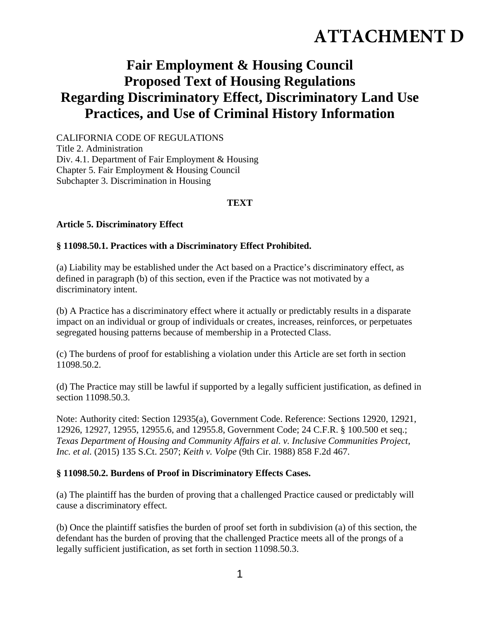# **ATTACHMENT D**

# **Fair Employment & Housing Council Proposed Text of Housing Regulations Regarding Discriminatory Effect, Discriminatory Land Use Practices, and Use of Criminal History Information**

CALIFORNIA CODE OF REGULATIONS Title 2. Administration Div. 4.1. Department of Fair Employment & Housing Chapter 5. Fair Employment & Housing Council Subchapter 3. Discrimination in Housing

# **TEXT**

#### **Article 5. Discriminatory Effect**

#### **§ 11098.50.1. Practices with a Discriminatory Effect Prohibited.**

(a) Liability may be established under the Act based on a Practice's discriminatory effect, as defined in paragraph (b) of this section, even if the Practice was not motivated by a discriminatory intent.

(b) A Practice has a discriminatory effect where it actually or predictably results in a disparate impact on an individual or group of individuals or creates, increases, reinforces, or perpetuates segregated housing patterns because of membership in a Protected Class.

(c) The burdens of proof for establishing a violation under this Article are set forth in section 11098.50.2.

(d) The Practice may still be lawful if supported by a legally sufficient justification, as defined in section 11098.50.3.

Note: Authority cited: Section 12935(a), Government Code. Reference: Sections 12920, 12921, 12926, 12927, 12955, 12955.6, and 12955.8, Government Code; 24 C.F.R. § 100.500 et seq.; *Texas Department of Housing and Community Affairs et al. v. Inclusive Communities Project, Inc. et al.* (2015) 135 S.Ct. 2507; *Keith v. Volpe* (9th Cir. 1988) 858 F.2d 467.

#### **§ 11098.50.2. Burdens of Proof in Discriminatory Effects Cases.**

(a) The plaintiff has the burden of proving that a challenged Practice caused or predictably will cause a discriminatory effect.

(b) Once the plaintiff satisfies the burden of proof set forth in subdivision (a) of this section, the defendant has the burden of proving that the challenged Practice meets all of the prongs of a legally sufficient justification, as set forth in section 11098.50.3.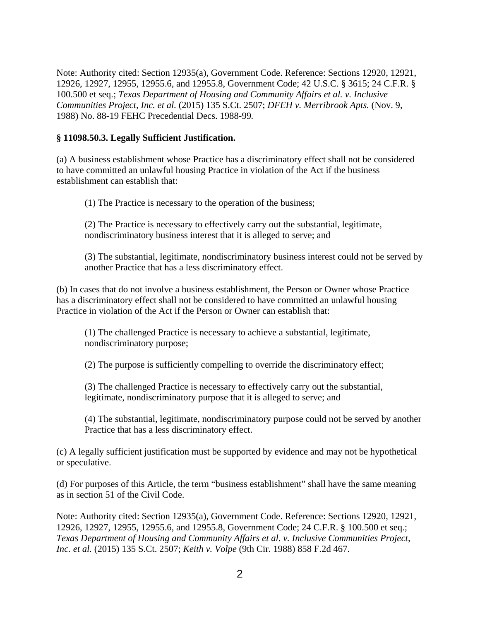Note: Authority cited: Section 12935(a), Government Code. Reference: Sections 12920, 12921, 12926, 12927, 12955, 12955.6, and 12955.8, Government Code; 42 U.S.C. § 3615; 24 C.F.R. § 100.500 et seq.; *Texas Department of Housing and Community Affairs et al. v. Inclusive Communities Project, Inc. et al.* (2015) 135 S.Ct. 2507; *DFEH v. Merribrook Apts.* (Nov. 9, 1988) No. 88-19 FEHC Precedential Decs. 1988-99*.*

#### **§ 11098.50.3. Legally Sufficient Justification.**

(a) A business establishment whose Practice has a discriminatory effect shall not be considered to have committed an unlawful housing Practice in violation of the Act if the business establishment can establish that:

(1) The Practice is necessary to the operation of the business;

(2) The Practice is necessary to effectively carry out the substantial, legitimate, nondiscriminatory business interest that it is alleged to serve; and

(3) The substantial, legitimate, nondiscriminatory business interest could not be served by another Practice that has a less discriminatory effect.

(b) In cases that do not involve a business establishment, the Person or Owner whose Practice has a discriminatory effect shall not be considered to have committed an unlawful housing Practice in violation of the Act if the Person or Owner can establish that:

(1) The challenged Practice is necessary to achieve a substantial, legitimate, nondiscriminatory purpose;

(2) The purpose is sufficiently compelling to override the discriminatory effect;

(3) The challenged Practice is necessary to effectively carry out the substantial, legitimate, nondiscriminatory purpose that it is alleged to serve; and

(4) The substantial, legitimate, nondiscriminatory purpose could not be served by another Practice that has a less discriminatory effect.

(c) A legally sufficient justification must be supported by evidence and may not be hypothetical or speculative.

(d) For purposes of this Article, the term "business establishment" shall have the same meaning as in section 51 of the Civil Code.

Note: Authority cited: Section 12935(a), Government Code. Reference: Sections 12920, 12921, 12926, 12927, 12955, 12955.6, and 12955.8, Government Code; 24 C.F.R. § 100.500 et seq.; *Texas Department of Housing and Community Affairs et al. v. Inclusive Communities Project, Inc. et al.* (2015) 135 S.Ct. 2507; *Keith v. Volpe* (9th Cir. 1988) 858 F.2d 467.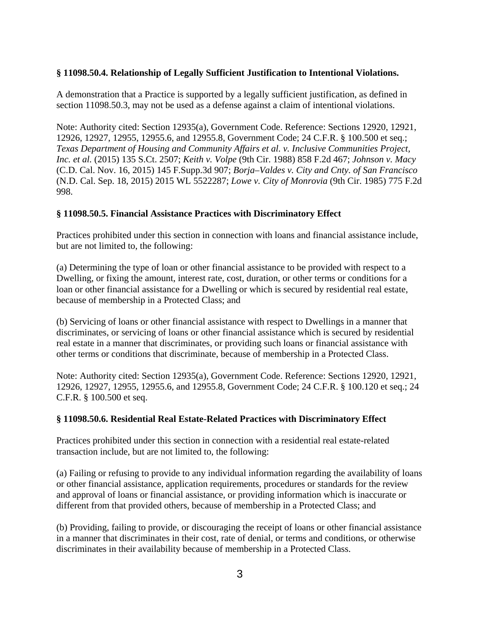#### **§ 11098.50.4. Relationship of Legally Sufficient Justification to Intentional Violations.**

A demonstration that a Practice is supported by a legally sufficient justification, as defined in section 11098.50.3, may not be used as a defense against a claim of intentional violations.

Note: Authority cited: Section 12935(a), Government Code. Reference: Sections 12920, 12921, 12926, 12927, 12955, 12955.6, and 12955.8, Government Code; 24 C.F.R. § 100.500 et seq.; *Texas Department of Housing and Community Affairs et al. v. Inclusive Communities Project, Inc. et al.* (2015) 135 S.Ct. 2507; *Keith v. Volpe* (9th Cir. 1988) 858 F.2d 467; *Johnson v. Macy* (C.D. Cal. Nov. 16, 2015) 145 F.Supp.3d 907; *Borja–Valdes v. City and Cnty. of San Francisco* (N.D. Cal. Sep. 18, 2015) 2015 WL 5522287; *Lowe v. City of Monrovia* (9th Cir. 1985) 775 F.2d 998.

#### **§ 11098.50.5. Financial Assistance Practices with Discriminatory Effect**

Practices prohibited under this section in connection with loans and financial assistance include, but are not limited to, the following:

(a) Determining the type of loan or other financial assistance to be provided with respect to a Dwelling, or fixing the amount, interest rate, cost, duration, or other terms or conditions for a loan or other financial assistance for a Dwelling or which is secured by residential real estate, because of membership in a Protected Class; and

(b) Servicing of loans or other financial assistance with respect to Dwellings in a manner that discriminates, or servicing of loans or other financial assistance which is secured by residential real estate in a manner that discriminates, or providing such loans or financial assistance with other terms or conditions that discriminate, because of membership in a Protected Class.

Note: Authority cited: Section 12935(a), Government Code. Reference: Sections 12920, 12921, 12926, 12927, 12955, 12955.6, and 12955.8, Government Code; 24 C.F.R. § 100.120 et seq.; 24 C.F.R. § 100.500 et seq.

#### **§ 11098.50.6. Residential Real Estate-Related Practices with Discriminatory Effect**

Practices prohibited under this section in connection with a residential real estate-related transaction include, but are not limited to, the following:

(a) Failing or refusing to provide to any individual information regarding the availability of loans or other financial assistance, application requirements, procedures or standards for the review and approval of loans or financial assistance, or providing information which is inaccurate or different from that provided others, because of membership in a Protected Class; and

(b) Providing, failing to provide, or discouraging the receipt of loans or other financial assistance in a manner that discriminates in their cost, rate of denial, or terms and conditions, or otherwise discriminates in their availability because of membership in a Protected Class.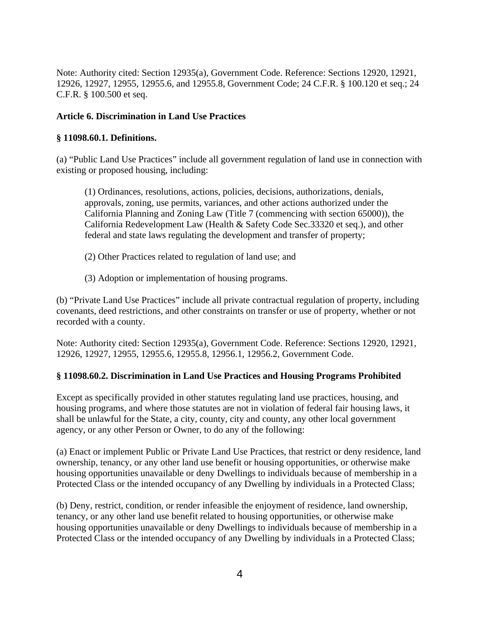Note: Authority cited: Section 12935(a), Government Code. Reference: Sections 12920, 12921, 12926, 12927, 12955, 12955.6, and 12955.8, Government Code; 24 C.F.R. § 100.120 et seq.; 24 C.F.R. § 100.500 et seq.

# **Article 6. Discrimination in Land Use Practices**

#### **§ 11098.60.1. Definitions.**

(a) "Public Land Use Practices" include all government regulation of land use in connection with existing or proposed housing, including:

(1) Ordinances, resolutions, actions, policies, decisions, authorizations, denials, approvals, zoning, use permits, variances, and other actions authorized under the California Planning and Zoning Law (Title 7 (commencing with section 65000)), the California Redevelopment Law (Health & Safety Code Sec.33320 et seq.), and other federal and state laws regulating the development and transfer of property;

- (2) Other Practices related to regulation of land use; and
- (3) Adoption or implementation of housing programs.

(b) "Private Land Use Practices" include all private contractual regulation of property, including covenants, deed restrictions, and other constraints on transfer or use of property, whether or not recorded with a county.

Note: Authority cited: Section 12935(a), Government Code. Reference: Sections 12920, 12921, 12926, 12927, 12955, 12955.6, 12955.8, 12956.1, 12956.2, Government Code.

#### **§ 11098.60.2. Discrimination in Land Use Practices and Housing Programs Prohibited**

Except as specifically provided in other statutes regulating land use practices, housing, and housing programs, and where those statutes are not in violation of federal fair housing laws, it shall be unlawful for the State, a city, county, city and county, any other local government agency, or any other Person or Owner, to do any of the following:

(a) Enact or implement Public or Private Land Use Practices, that restrict or deny residence, land ownership, tenancy, or any other land use benefit or housing opportunities, or otherwise make housing opportunities unavailable or deny Dwellings to individuals because of membership in a Protected Class or the intended occupancy of any Dwelling by individuals in a Protected Class;

(b) Deny, restrict, condition, or render infeasible the enjoyment of residence, land ownership, tenancy, or any other land use benefit related to housing opportunities, or otherwise make housing opportunities unavailable or deny Dwellings to individuals because of membership in a Protected Class or the intended occupancy of any Dwelling by individuals in a Protected Class;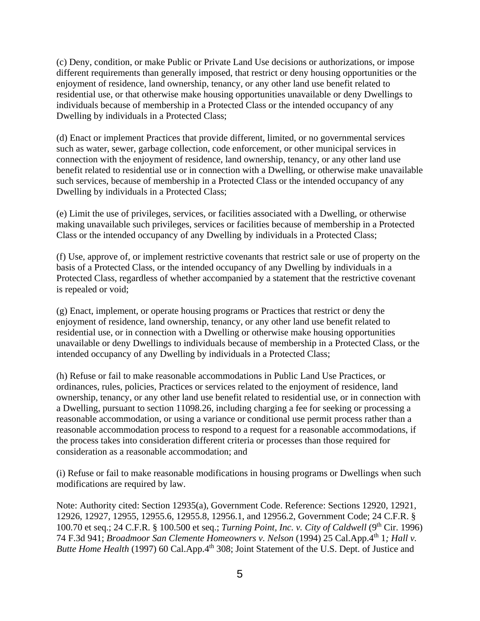(c) Deny, condition, or make Public or Private Land Use decisions or authorizations, or impose different requirements than generally imposed, that restrict or deny housing opportunities or the enjoyment of residence, land ownership, tenancy, or any other land use benefit related to residential use, or that otherwise make housing opportunities unavailable or deny Dwellings to individuals because of membership in a Protected Class or the intended occupancy of any Dwelling by individuals in a Protected Class;

(d) Enact or implement Practices that provide different, limited, or no governmental services such as water, sewer, garbage collection, code enforcement, or other municipal services in connection with the enjoyment of residence, land ownership, tenancy, or any other land use benefit related to residential use or in connection with a Dwelling, or otherwise make unavailable such services, because of membership in a Protected Class or the intended occupancy of any Dwelling by individuals in a Protected Class;

(e) Limit the use of privileges, services, or facilities associated with a Dwelling, or otherwise making unavailable such privileges, services or facilities because of membership in a Protected Class or the intended occupancy of any Dwelling by individuals in a Protected Class;

(f) Use, approve of, or implement restrictive covenants that restrict sale or use of property on the basis of a Protected Class, or the intended occupancy of any Dwelling by individuals in a Protected Class, regardless of whether accompanied by a statement that the restrictive covenant is repealed or void;

(g) Enact, implement, or operate housing programs or Practices that restrict or deny the enjoyment of residence, land ownership, tenancy, or any other land use benefit related to residential use, or in connection with a Dwelling or otherwise make housing opportunities unavailable or deny Dwellings to individuals because of membership in a Protected Class, or the intended occupancy of any Dwelling by individuals in a Protected Class;

(h) Refuse or fail to make reasonable accommodations in Public Land Use Practices, or ordinances, rules, policies, Practices or services related to the enjoyment of residence, land ownership, tenancy, or any other land use benefit related to residential use, or in connection with a Dwelling, pursuant to section 11098.26, including charging a fee for seeking or processing a reasonable accommodation, or using a variance or conditional use permit process rather than a reasonable accommodation process to respond to a request for a reasonable accommodations, if the process takes into consideration different criteria or processes than those required for consideration as a reasonable accommodation; and

(i) Refuse or fail to make reasonable modifications in housing programs or Dwellings when such modifications are required by law.

Note: Authority cited: Section 12935(a), Government Code. Reference: Sections 12920, 12921, 12926, 12927, 12955, 12955.6, 12955.8, 12956.1, and 12956.2, Government Code; 24 C.F.R. § 100.70 et seq.; 24 C.F.R. § 100.500 et seq.; *Turning Point, Inc. v. City of Caldwell* (9th Cir. 1996) 74 F.3d 941; *Broadmoor San Clemente Homeowners v. Nelson* (1994) 25 Cal.App.4th 1*; Hall v. Butte Home Health* (1997) 60 Cal.App.4<sup>th</sup> 308; Joint Statement of the U.S. Dept. of Justice and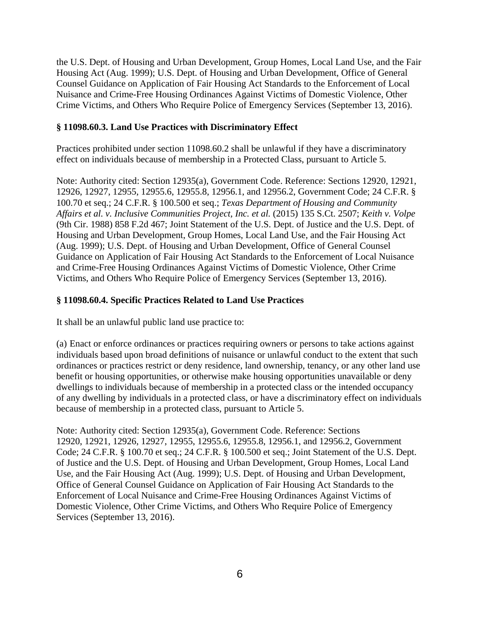the U.S. Dept. of Housing and Urban Development, Group Homes, Local Land Use, and the Fair Housing Act (Aug. 1999); U.S. Dept. of Housing and Urban Development, Office of General Counsel Guidance on Application of Fair Housing Act Standards to the Enforcement of Local Nuisance and Crime-Free Housing Ordinances Against Victims of Domestic Violence, Other Crime Victims, and Others Who Require Police of Emergency Services (September 13, 2016).

#### **§ 11098.60.3. Land Use Practices with Discriminatory Effect**

Practices prohibited under section 11098.60.2 shall be unlawful if they have a discriminatory effect on individuals because of membership in a Protected Class, pursuant to Article 5.

Note: Authority cited: Section 12935(a), Government Code. Reference: Sections 12920, 12921, 12926, 12927, 12955, 12955.6, 12955.8, 12956.1, and 12956.2, Government Code; 24 C.F.R. § 100.70 et seq.; 24 C.F.R. § 100.500 et seq.; *Texas Department of Housing and Community Affairs et al. v. Inclusive Communities Project, Inc. et al.* (2015) 135 S.Ct. 2507; *Keith v. Volpe*  (9th Cir. 1988) 858 F.2d 467; Joint Statement of the U.S. Dept. of Justice and the U.S. Dept. of Housing and Urban Development, Group Homes, Local Land Use, and the Fair Housing Act (Aug. 1999); U.S. Dept. of Housing and Urban Development, Office of General Counsel Guidance on Application of Fair Housing Act Standards to the Enforcement of Local Nuisance and Crime-Free Housing Ordinances Against Victims of Domestic Violence, Other Crime Victims, and Others Who Require Police of Emergency Services (September 13, 2016).

# **§ 11098.60.4. Specific Practices Related to Land Use Practices**

It shall be an unlawful public land use practice to:

(a) Enact or enforce ordinances or practices requiring owners or persons to take actions against individuals based upon broad definitions of nuisance or unlawful conduct to the extent that such ordinances or practices restrict or deny residence, land ownership, tenancy, or any other land use benefit or housing opportunities, or otherwise make housing opportunities unavailable or deny dwellings to individuals because of membership in a protected class or the intended occupancy of any dwelling by individuals in a protected class, or have a discriminatory effect on individuals because of membership in a protected class, pursuant to Article 5.

Note: Authority cited: Section 12935(a), Government Code. Reference: Sections 12920, 12921, 12926, 12927, 12955, 12955.6, 12955.8, 12956.1, and 12956.2, Government Code; 24 C.F.R. § 100.70 et seq.; 24 C.F.R. § 100.500 et seq.; Joint Statement of the U.S. Dept. of Justice and the U.S. Dept. of Housing and Urban Development, Group Homes, Local Land Use, and the Fair Housing Act (Aug. 1999); U.S. Dept. of Housing and Urban Development, Office of General Counsel Guidance on Application of Fair Housing Act Standards to the Enforcement of Local Nuisance and Crime-Free Housing Ordinances Against Victims of Domestic Violence, Other Crime Victims, and Others Who Require Police of Emergency Services (September 13, 2016).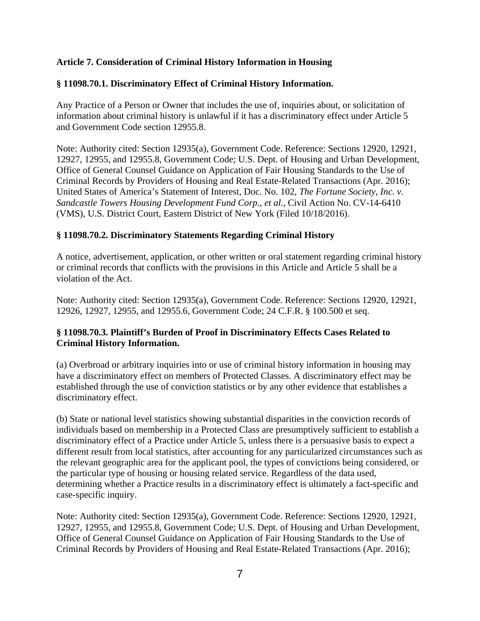# **Article 7. Consideration of Criminal History Information in Housing**

# **§ 11098.70.1. Discriminatory Effect of Criminal History Information.**

Any Practice of a Person or Owner that includes the use of, inquiries about, or solicitation of information about criminal history is unlawful if it has a discriminatory effect under Article 5 and Government Code section 12955.8.

Note: Authority cited: Section 12935(a), Government Code. Reference: Sections 12920, 12921, 12927, 12955, and 12955.8, Government Code; U.S. Dept. of Housing and Urban Development, Office of General Counsel Guidance on Application of Fair Housing Standards to the Use of Criminal Records by Providers of Housing and Real Estate-Related Transactions (Apr. 2016); United States of America's Statement of Interest, Doc. No. 102, *The Fortune Society, Inc. v. Sandcastle Towers Housing Development Fund Corp., et al.*, Civil Action No. CV-14-6410 (VMS), U.S. District Court, Eastern District of New York (Filed 10/18/2016).

# **§ 11098.70.2. Discriminatory Statements Regarding Criminal History**

A notice, advertisement, application, or other written or oral statement regarding criminal history or criminal records that conflicts with the provisions in this Article and Article 5 shall be a violation of the Act.

Note: Authority cited: Section 12935(a), Government Code. Reference: Sections 12920, 12921, 12926, 12927, 12955, and 12955.6, Government Code; 24 C.F.R. § 100.500 et seq.

# **§ 11098.70.3. Plaintiff's Burden of Proof in Discriminatory Effects Cases Related to Criminal History Information.**

(a) Overbroad or arbitrary inquiries into or use of criminal history information in housing may have a discriminatory effect on members of Protected Classes. A discriminatory effect may be established through the use of conviction statistics or by any other evidence that establishes a discriminatory effect.

(b) State or national level statistics showing substantial disparities in the conviction records of individuals based on membership in a Protected Class are presumptively sufficient to establish a discriminatory effect of a Practice under Article 5, unless there is a persuasive basis to expect a different result from local statistics, after accounting for any particularized circumstances such as the relevant geographic area for the applicant pool, the types of convictions being considered, or the particular type of housing or housing related service. Regardless of the data used, determining whether a Practice results in a discriminatory effect is ultimately a fact-specific and case-specific inquiry.

Note: Authority cited: Section 12935(a), Government Code. Reference: Sections 12920, 12921, 12927, 12955, and 12955.8, Government Code; U.S. Dept. of Housing and Urban Development, Office of General Counsel Guidance on Application of Fair Housing Standards to the Use of Criminal Records by Providers of Housing and Real Estate-Related Transactions (Apr. 2016);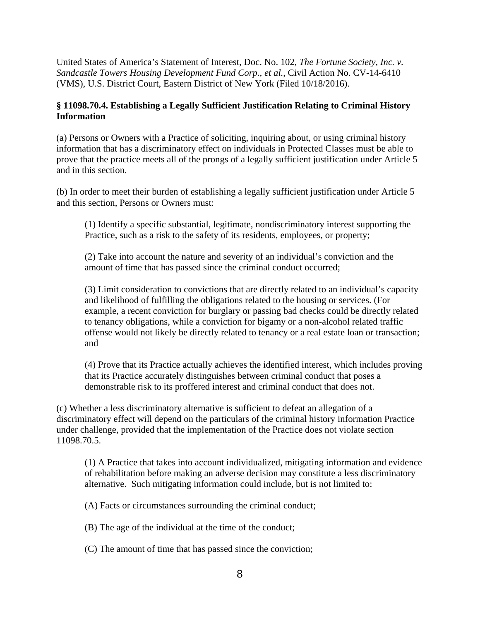United States of America's Statement of Interest, Doc. No. 102, *The Fortune Society, Inc. v. Sandcastle Towers Housing Development Fund Corp., et al.*, Civil Action No. CV-14-6410 (VMS), U.S. District Court, Eastern District of New York (Filed 10/18/2016).

# **§ 11098.70.4. Establishing a Legally Sufficient Justification Relating to Criminal History Information**

(a) Persons or Owners with a Practice of soliciting, inquiring about, or using criminal history information that has a discriminatory effect on individuals in Protected Classes must be able to prove that the practice meets all of the prongs of a legally sufficient justification under Article 5 and in this section.

(b) In order to meet their burden of establishing a legally sufficient justification under Article 5 and this section, Persons or Owners must:

(1) Identify a specific substantial, legitimate, nondiscriminatory interest supporting the Practice, such as a risk to the safety of its residents, employees, or property;

(2) Take into account the nature and severity of an individual's conviction and the amount of time that has passed since the criminal conduct occurred;

(3) Limit consideration to convictions that are directly related to an individual's capacity and likelihood of fulfilling the obligations related to the housing or services. (For example, a recent conviction for burglary or passing bad checks could be directly related to tenancy obligations, while a conviction for bigamy or a non-alcohol related traffic offense would not likely be directly related to tenancy or a real estate loan or transaction; and

(4) Prove that its Practice actually achieves the identified interest, which includes proving that its Practice accurately distinguishes between criminal conduct that poses a demonstrable risk to its proffered interest and criminal conduct that does not.

(c) Whether a less discriminatory alternative is sufficient to defeat an allegation of a discriminatory effect will depend on the particulars of the criminal history information Practice under challenge, provided that the implementation of the Practice does not violate section 11098.70.5.

(1) A Practice that takes into account individualized, mitigating information and evidence of rehabilitation before making an adverse decision may constitute a less discriminatory alternative. Such mitigating information could include, but is not limited to:

(A) Facts or circumstances surrounding the criminal conduct;

(B) The age of the individual at the time of the conduct;

(C) The amount of time that has passed since the conviction;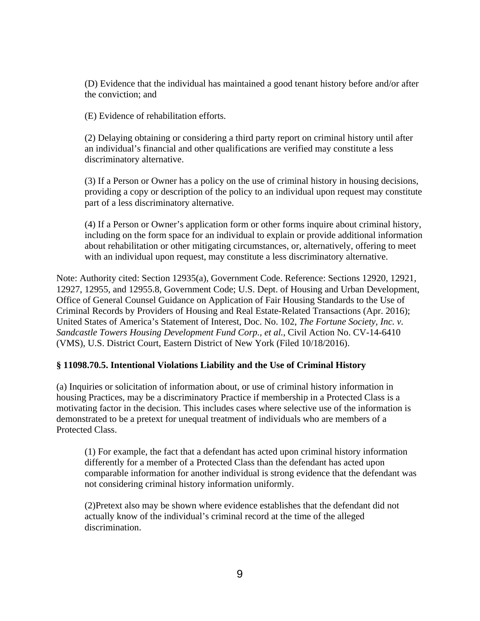(D) Evidence that the individual has maintained a good tenant history before and/or after the conviction; and

(E) Evidence of rehabilitation efforts.

(2) Delaying obtaining or considering a third party report on criminal history until after an individual's financial and other qualifications are verified may constitute a less discriminatory alternative.

(3) If a Person or Owner has a policy on the use of criminal history in housing decisions, providing a copy or description of the policy to an individual upon request may constitute part of a less discriminatory alternative.

(4) If a Person or Owner's application form or other forms inquire about criminal history, including on the form space for an individual to explain or provide additional information about rehabilitation or other mitigating circumstances, or, alternatively, offering to meet with an individual upon request, may constitute a less discriminatory alternative.

Note: Authority cited: Section 12935(a), Government Code. Reference: Sections 12920, 12921, 12927, 12955, and 12955.8, Government Code; U.S. Dept. of Housing and Urban Development, Office of General Counsel Guidance on Application of Fair Housing Standards to the Use of Criminal Records by Providers of Housing and Real Estate-Related Transactions (Apr. 2016); United States of America's Statement of Interest, Doc. No. 102, *The Fortune Society, Inc. v. Sandcastle Towers Housing Development Fund Corp., et al.*, Civil Action No. CV-14-6410 (VMS), U.S. District Court, Eastern District of New York (Filed 10/18/2016).

# **§ 11098.70.5. Intentional Violations Liability and the Use of Criminal History**

(a) Inquiries or solicitation of information about, or use of criminal history information in housing Practices, may be a discriminatory Practice if membership in a Protected Class is a motivating factor in the decision. This includes cases where selective use of the information is demonstrated to be a pretext for unequal treatment of individuals who are members of a Protected Class.

(1) For example, the fact that a defendant has acted upon criminal history information differently for a member of a Protected Class than the defendant has acted upon comparable information for another individual is strong evidence that the defendant was not considering criminal history information uniformly.

(2)Pretext also may be shown where evidence establishes that the defendant did not actually know of the individual's criminal record at the time of the alleged discrimination.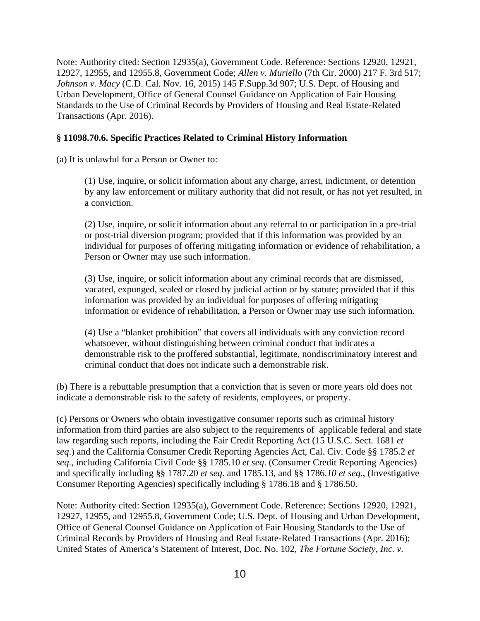Note: Authority cited: Section 12935(a), Government Code. Reference: Sections 12920, 12921, 12927, 12955, and 12955.8, Government Code; *Allen v. Muriello* (7th Cir. 2000) 217 F. 3rd 517; *Johnson v. Macy* (C.D. Cal. Nov. 16, 2015) 145 F.Supp.3d 907; U.S. Dept. of Housing and Urban Development, Office of General Counsel Guidance on Application of Fair Housing Standards to the Use of Criminal Records by Providers of Housing and Real Estate-Related Transactions (Apr. 2016).

#### **§ 11098.70.6. Specific Practices Related to Criminal History Information**

(a) It is unlawful for a Person or Owner to:

(1) Use, inquire, or solicit information about any charge, arrest, indictment, or detention by any law enforcement or military authority that did not result, or has not yet resulted, in a conviction.

(2) Use, inquire, or solicit information about any referral to or participation in a pre-trial or post-trial diversion program; provided that if this information was provided by an individual for purposes of offering mitigating information or evidence of rehabilitation, a Person or Owner may use such information.

(3) Use, inquire, or solicit information about any criminal records that are dismissed, vacated, expunged, sealed or closed by judicial action or by statute; provided that if this information was provided by an individual for purposes of offering mitigating information or evidence of rehabilitation, a Person or Owner may use such information.

(4) Use a "blanket prohibition" that covers all individuals with any conviction record whatsoever, without distinguishing between criminal conduct that indicates a demonstrable risk to the proffered substantial, legitimate, nondiscriminatory interest and criminal conduct that does not indicate such a demonstrable risk.

(b) There is a rebuttable presumption that a conviction that is seven or more years old does not indicate a demonstrable risk to the safety of residents, employees, or property.

(c) Persons or Owners who obtain investigative consumer reports such as criminal history information from third parties are also subject to the requirements of applicable federal and state law regarding such reports, including the Fair Credit Reporting Act (15 U.S.C. Sect. 1681 *et seq*.) and the California Consumer Credit Reporting Agencies Act, Cal. Civ. Code §§ 1785.2 *et seq*., including California Civil Code §§ 1785.10 *et seq*. (Consumer Credit Reporting Agencies) and specifically including §§ 1787.20 *et seq*. and 1785.13, and §§ 1786.*10 et seq*., (Investigative Consumer Reporting Agencies) specifically including § 1786.18 and § 1786.50.

Note: Authority cited: Section 12935(a), Government Code. Reference: Sections 12920, 12921, 12927, 12955, and 12955.8, Government Code; U.S. Dept. of Housing and Urban Development, Office of General Counsel Guidance on Application of Fair Housing Standards to the Use of Criminal Records by Providers of Housing and Real Estate-Related Transactions (Apr. 2016); United States of America's Statement of Interest, Doc. No. 102, *The Fortune Society, Inc. v.*